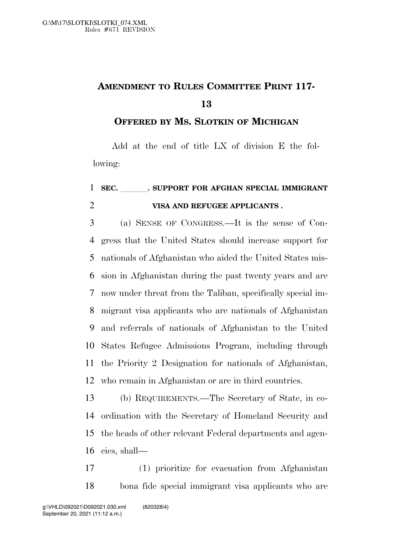## **AMENDMENT TO RULES COMMITTEE PRINT 117-**

**OFFERED BY MS. SLOTKIN OF MICHIGAN**

Add at the end of title LX of division E the following:

## 1 SEC. SUPPORT FOR AFGHAN SPECIAL IMMIGRANT **VISA AND REFUGEE APPLICANTS .**

 (a) SENSE OF CONGRESS.—It is the sense of Con- gress that the United States should increase support for nationals of Afghanistan who aided the United States mis- sion in Afghanistan during the past twenty years and are now under threat from the Taliban, specifically special im- migrant visa applicants who are nationals of Afghanistan and referrals of nationals of Afghanistan to the United States Refugee Admissions Program, including through the Priority 2 Designation for nationals of Afghanistan, who remain in Afghanistan or are in third countries.

 (b) REQUIREMENTS.—The Secretary of State, in co- ordination with the Secretary of Homeland Security and the heads of other relevant Federal departments and agen-cies, shall—

 (1) prioritize for evacuation from Afghanistan bona fide special immigrant visa applicants who are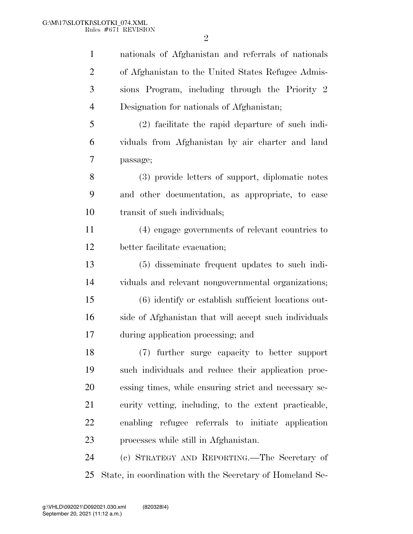$\mathfrak{D}$ 

nationals of Afghanistan and referrals of nationals

 of Afghanistan to the United States Refugee Admis- sions Program, including through the Priority 2 Designation for nationals of Afghanistan; (2) facilitate the rapid departure of such indi- viduals from Afghanistan by air charter and land passage; (3) provide letters of support, diplomatic notes and other documentation, as appropriate, to ease transit of such individuals; (4) engage governments of relevant countries to better facilitate evacuation; (5) disseminate frequent updates to such indi- viduals and relevant nongovernmental organizations; (6) identify or establish sufficient locations out- side of Afghanistan that will accept such individuals during application processing; and (7) further surge capacity to better support such individuals and reduce their application proc- essing times, while ensuring strict and necessary se- curity vetting, including, to the extent practicable, enabling refugee referrals to initiate application processes while still in Afghanistan. (c) STRATEGY AND REPORTING.—The Secretary of State, in coordination with the Secretary of Homeland Se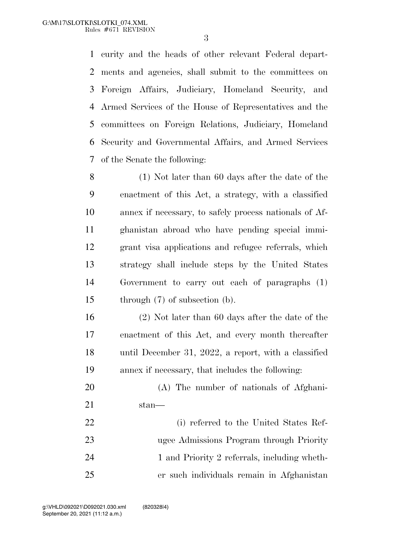curity and the heads of other relevant Federal depart- ments and agencies, shall submit to the committees on Foreign Affairs, Judiciary, Homeland Security, and Armed Services of the House of Representatives and the committees on Foreign Relations, Judiciary, Homeland Security and Governmental Affairs, and Armed Services of the Senate the following:

 (1) Not later than 60 days after the date of the enactment of this Act, a strategy, with a classified annex if necessary, to safely process nationals of Af- ghanistan abroad who have pending special immi- grant visa applications and refugee referrals, which strategy shall include steps by the United States Government to carry out each of paragraphs (1) through (7) of subsection (b).

 (2) Not later than 60 days after the date of the enactment of this Act, and every month thereafter until December 31, 2022, a report, with a classified annex if necessary, that includes the following:

 (A) The number of nationals of Afghani-stan—

 (i) referred to the United States Ref- ugee Admissions Program through Priority 24 1 and Priority 2 referrals, including wheth-er such individuals remain in Afghanistan